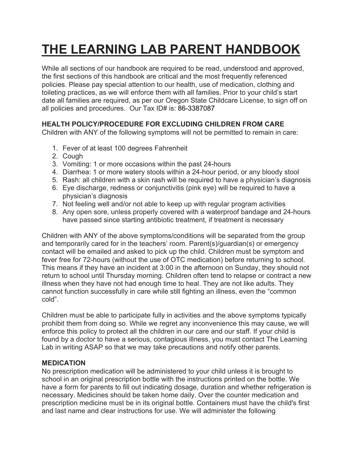# **THE LEARNING LAB PARENT HANDBOOK**

While all sections of our handbook are required to be read, understood and approved, the first sections of this handbook are critical and the most frequently referenced policies. Please pay special attention to our health, use of medication, clothing and toileting practices, as we will enforce them with all families. Prior to your child's start date all families are required, as per our Oregon State Childcare License, to sign off on all policies and procedures. Our Tax ID# is: 86-3387087

# **HEALTH POLICY/PROCEDURE FOR EXCLUDING CHILDREN FROM CARE**

Children with ANY of the following symptoms will not be permitted to remain in care:

- 1. Fever of at least 100 degrees Fahrenheit
- 2. Cough
- 3. Vomiting: 1 or more occasions within the past 24-hours
- 4. Diarrhea: 1 or more watery stools within a 24-hour period, or any bloody stool
- 5. Rash: all children with a skin rash will be required to have a physician's diagnosis
- 6. Eye discharge, redness or conjunctivitis (pink eye) will be required to have a physician's diagnosis
- 7. Not feeling well and/or not able to keep up with regular program activities
- 8. Any open sore, unless properly covered with a waterproof bandage and 24-hours have passed since starting antibiotic treatment, if treatment is necessary

Children with ANY of the above symptoms/conditions will be separated from the group and temporarily cared for in the teachers' room. Parent(s)/guardian(s) or emergency contact will be emailed and asked to pick up the child. Children must be symptom and fever free for 72-hours (without the use of OTC medication) before returning to school. This means if they have an incident at 3:00 in the afternoon on Sunday, they should not return to school until Thursday morning. Children often tend to relapse or contract a new illness when they have not had enough time to heal. They are not like adults. They cannot function successfully in care while still fighting an illness, even the "common cold".

Children must be able to participate fully in activities and the above symptoms typically prohibit them from doing so. While we regret any inconvenience this may cause, we will enforce this policy to protect all the children in our care and our staff. If your child is found by a doctor to have a serious, contagious illness, you must contact The Learning Lab in writing ASAP so that we may take precautions and notify other parents.

## **MEDICATION**

No prescription medication will be administered to your child unless it is brought to school in an original prescription bottle with the instructions printed on the bottle. We have a form for parents to fill out indicating dosage, duration and whether refrigeration is necessary. Medicines should be taken home daily. Over the counter medication and prescription medicine must be in its original bottle. Containers must have the child's first and last name and clear instructions for use. We will administer the following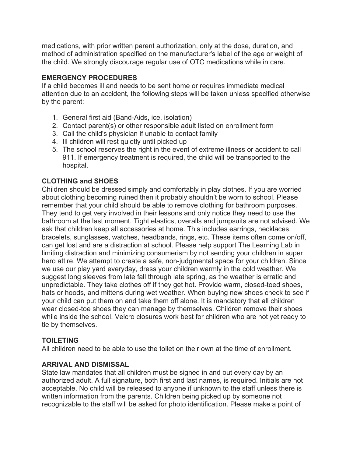medications, with prior written parent authorization, only at the dose, duration, and method of administration specified on the manufacturer's label of the age or weight of the child. We strongly discourage regular use of OTC medications while in care.

## **EMERGENCY PROCEDURES**

If a child becomes ill and needs to be sent home or requires immediate medical attention due to an accident, the following steps will be taken unless specified otherwise by the parent:

- 1. General first aid (Band-Aids, ice, isolation)
- 2. Contact parent(s) or other responsible adult listed on enrollment form
- 3. Call the child's physician if unable to contact family
- 4. Ill children will rest quietly until picked up
- 5. The school reserves the right in the event of extreme illness or accident to call 911. If emergency treatment is required, the child will be transported to the hospital.

## **CLOTHING and SHOES**

Children should be dressed simply and comfortably in play clothes. If you are worried about clothing becoming ruined then it probably shouldn't be worn to school. Please remember that your child should be able to remove clothing for bathroom purposes. They tend to get very involved in their lessons and only notice they need to use the bathroom at the last moment. Tight elastics, overalls and jumpsuits are not advised. We ask that children keep all accessories at home. This includes earrings, necklaces, bracelets, sunglasses, watches, headbands, rings, etc. These items often come on/off, can get lost and are a distraction at school. Please help support The Learning Lab in limiting distraction and minimizing consumerism by not sending your children in super hero attire. We attempt to create a safe, non-judgmental space for your children. Since we use our play yard everyday, dress your children warmly in the cold weather. We suggest long sleeves from late fall through late spring, as the weather is erratic and unpredictable. They take clothes off if they get hot. Provide warm, closed-toed shoes, hats or hoods, and mittens during wet weather. When buying new shoes check to see if your child can put them on and take them off alone. It is mandatory that all children wear closed-toe shoes they can manage by themselves. Children remove their shoes while inside the school. Velcro closures work best for children who are not yet ready to tie by themselves.

## **TOILETING**

All children need to be able to use the toilet on their own at the time of enrollment.

#### **ARRIVAL AND DISMISSAL**

State law mandates that all children must be signed in and out every day by an authorized adult. A full signature, both first and last names, is required. Initials are not acceptable. No child will be released to anyone if unknown to the staff unless there is written information from the parents. Children being picked up by someone not recognizable to the staff will be asked for photo identification. Please make a point of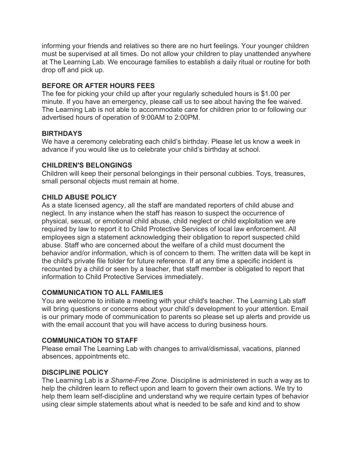informing your friends and relatives so there are no hurt feelings. Your younger children must be supervised at all times. Do not allow your children to play unattended anywhere at The Learning Lab. We encourage families to establish a daily ritual or routine for both drop off and pick up.

## **BEFORE OR AFTER HOURS FEES**

The fee for picking your child up after your regularly scheduled hours is \$1.00 per minute. If you have an emergency, please call us to see about having the fee waived. The Learning Lab is not able to accommodate care for children prior to or following our advertised hours of operation of 9:00AM to 2:00PM.

## **BIRTHDAYS**

We have a ceremony celebrating each child's birthday. Please let us know a week in advance if you would like us to celebrate your child's birthday at school.

## **CHILDREN'S BELONGINGS**

Children will keep their personal belongings in their personal cubbies. Toys, treasures, small personal objects must remain at home.

## **CHILD ABUSE POLICY**

As a state licensed agency, all the staff are mandated reporters of child abuse and neglect. In any instance when the staff has reason to suspect the occurrence of physical, sexual, or emotional child abuse, child neglect or child exploitation we are required by law to report it to Child Protective Services of local law enforcement. All employees sign a statement acknowledging their obligation to report suspected child abuse. Staff who are concerned about the welfare of a child must document the behavior and/or information, which is of concern to them. The written data will be kept in the child's private file folder for future reference. If at any time a specific incident is recounted by a child or seen by a teacher, that staff member is obligated to report that information to Child Protective Services immediately.

## **COMMUNICATION TO ALL FAMILIES**

You are welcome to initiate a meeting with your child's teacher. The Learning Lab staff will bring questions or concerns about your child's development to your attention. Email is our primary mode of communication to parents so please set up alerts and provide us with the email account that you will have access to during business hours.

## **COMMUNICATION TO STAFF**

Please email The Learning Lab with changes to arrival/dismissal, vacations, planned absences, appointments etc.

#### **DISCIPLINE POLICY**

The Learning Lab is *a Shame-Free Zone*. Discipline is administered in such a way as to help the children learn to reflect upon and learn to govern their own actions. We try to help them learn self-discipline and understand why we require certain types of behavior using clear simple statements about what is needed to be safe and kind and to show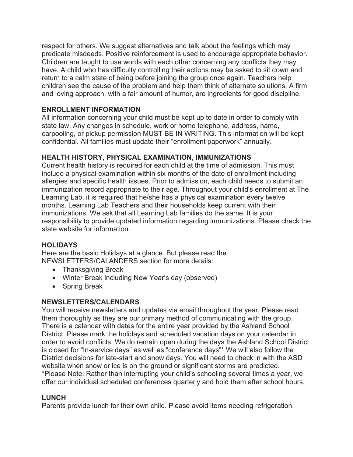respect for others. We suggest alternatives and talk about the feelings which may predicate misdeeds. Positive reinforcement is used to encourage appropriate behavior. Children are taught to use words with each other concerning any conflicts they may have. A child who has difficulty controlling their actions may be asked to sit down and return to a calm state of being before joining the group once again. Teachers help children see the cause of the problem and help them think of alternate solutions. A firm and loving approach, with a fair amount of humor, are ingredients for good discipline.

## **ENROLLMENT INFORMATION**

All information concerning your child must be kept up to date in order to comply with state law. Any changes in schedule, work or home telephone, address, name, carpooling, or pickup permission MUST BE IN WRITING. This information will be kept confidential. All families must update their "enrollment paperwork" annually.

## **HEALTH HISTORY, PHYSICAL EXAMINATION, IMMUNIZATIONS**

Current health history is required for each child at the time of admission. This must include a physical examination within six months of the date of enrollment including allergies and specific health issues. Prior to admission, each child needs to submit an immunization record appropriate to their age. Throughout your child's enrollment at The Learning Lab, it is required that he/she has a physical examination every twelve months. Learning Lab Teachers and their households keep current with their immunizations. We ask that all Learning Lab families do the same. It is your responsibility to provide updated information regarding immunizations. Please check the state website for information.

#### **HOLIDAYS**

Here are the basic Holidays at a glance. But please read the NEWSLETTERS/CALANDERS section for more details:

- Thanksgiving Break
- Winter Break including New Year's day (observed)
- Spring Break

## **NEWSLETTERS/CALENDARS**

You will receive newsletters and updates via email throughout the year. Please read them thoroughly as they are our primary method of communicating with the group. There is a calendar with dates for the entire year provided by the Ashland School District. Please mark the holidays and scheduled vacation days on your calendar in order to avoid conflicts. We do remain open during the days the Ashland School District is closed for "In-service days" as well as "conference days"\* We will also follow the District decisions for late-start and snow days. You will need to check in with the ASD website when snow or ice is on the ground or significant storms are predicted. \*Please Note: Rather than interrupting your child's schooling several times a year, we offer our individual scheduled conferences quarterly and hold them after school hours.

#### **LUNCH**

Parents provide lunch for their own child. Please avoid items needing refrigeration.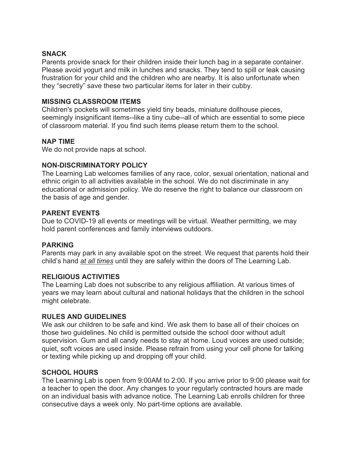#### **SNACK**

Parents provide snack for their children inside their lunch bag in a separate container. Please avoid yogurt and milk in lunches and snacks. They tend to spill or leak causing frustration for your child and the children who are nearby. It is also unfortunate when they "secretly" save these two particular items for later in their cubby.

#### **MISSING CLASSROOM ITEMS**

Children's pockets will sometimes yield tiny beads, miniature dollhouse pieces, seemingly insignificant items--like a tiny cube--all of which are essential to some piece of classroom material. If you find such items please return them to the school.

#### **NAP TIME**

We do not provide naps at school.

#### **NON-DISCRIMINATORY POLICY**

The Learning Lab welcomes families of any race, color, sexual orientation, national and ethnic origin to all activities available in the school. We do not discriminate in any educational or admission policy. We do reserve the right to balance our classroom on the basis of age and gender.

#### **PARENT EVENTS**

Due to COVID-19 all events or meetings will be virtual. Weather permitting, we may hold parent conferences and family interviews outdoors.

#### **PARKING**

Parents may park in any available spot on the street. We request that parents hold their child's hand *at all times* until they are safely within the doors of The Learning Lab.

#### **RELIGIOUS ACTIVITIES**

The Learning Lab does not subscribe to any religious affiliation. At various times of years we may learn about cultural and national holidays that the children in the school might celebrate.

#### **RULES AND GUIDELINES**

We ask our children to be safe and kind. We ask them to base all of their choices on those two guidelines. No child is permitted outside the school door without adult supervision. Gum and all candy needs to stay at home. Loud voices are used outside; quiet, soft voices are used inside. Please refrain from using your cell phone for talking or texting while picking up and dropping off your child.

#### **SCHOOL HOURS**

The Learning Lab is open from 9:00AM to 2:00. If you arrive prior to 9:00 please wait for a teacher to open the door. Any changes to your regularly contracted hours are made on an individual basis with advance notice. The Learning Lab enrolls children for three consecutive days a week only. No part-time options are available.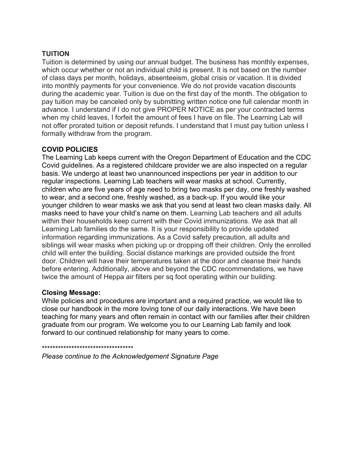## **TUITION**

Tuition is determined by using our annual budget. The business has monthly expenses, which occur whether or not an individual child is present. It is not based on the number of class days per month, holidays, absenteeism, global crisis or vacation. It is divided into monthly payments for your convenience. We do not provide vacation discounts during the academic year. Tuition is due on the first day of the month. The obligation to pay tuition may be canceled only by submitting written notice one full calendar month in advance. I understand if I do not give PROPER NOTICE as per your contracted terms when my child leaves, I forfeit the amount of fees I have on file. The Learning Lab will not offer prorated tuition or deposit refunds. I understand that I must pay tuition unless I formally withdraw from the program.

## **COVID POLICIES**

The Learning Lab keeps current with the Oregon Department of Education and the CDC Covid guidelines. As a registered childcare provider we are also inspected on a regular basis. We undergo at least two unannounced inspections per year in addition to our regular inspections. Learning Lab teachers will wear masks at school. Currently, children who are five years of age need to bring two masks per day, one freshly washed to wear, and a second one, freshly washed, as a back-up. If you would like your younger children to wear masks we ask that you send at least two clean masks daily. All masks need to have your child's name on them. Learning Lab teachers and all adults within their households keep current with their Covid immunizations. We ask that all Learning Lab families do the same. It is your responsibility to provide updated information regarding immunizations. As a Covid safety precaution, all adults and siblings will wear masks when picking up or dropping off their children. Only the enrolled child will enter the building. Social distance markings are provided outside the front door. Children will have their temperatures taken at the door and cleanse their hands before entering. Additionally, above and beyond the CDC recommendations, we have twice the amount of Heppa air filters per sq foot operating within our building.

#### **Closing Message:**

While policies and procedures are important and a required practice, we would like to close our handbook in the more loving tone of our daily interactions. We have been teaching for many years and often remain in contact with our families after their children graduate from our program. We welcome you to our Learning Lab family and look forward to our continued relationship for many years to come.

#### \*\*\*\*\*\*\*\*\*\*\*\*\*\*\*\*\*\*\*\*\*\*\*\*\*\*\*\*\*\*\*\*\*\*

*Please continue to the Acknowledgement Signature Page*